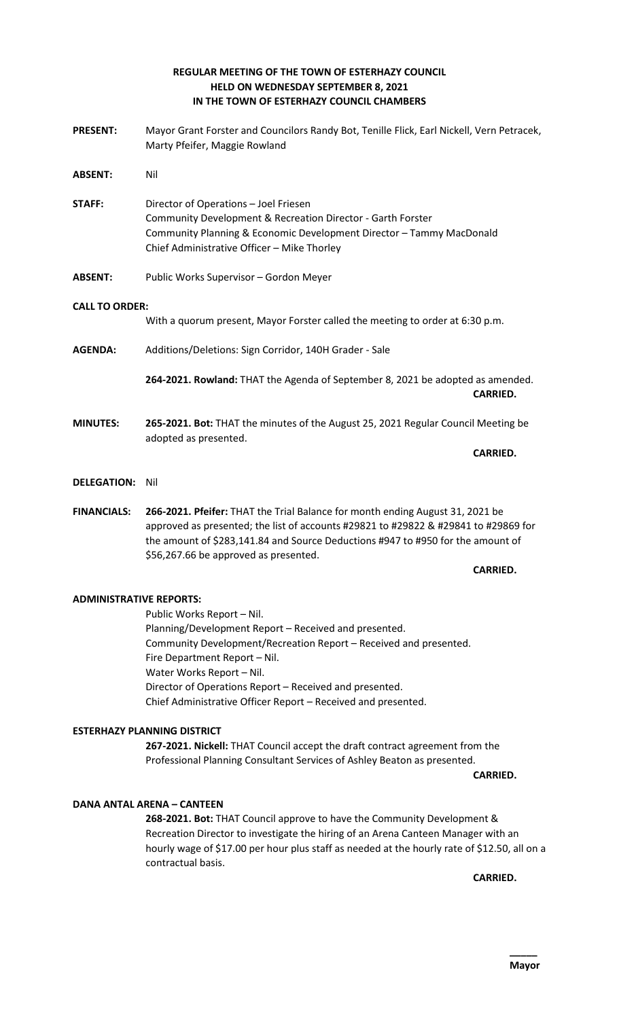# **REGULAR MEETING OF THE TOWN OF ESTERHAZY COUNCIL HELD ON WEDNESDAY SEPTEMBER 8, 2021 IN THE TOWN OF ESTERHAZY COUNCIL CHAMBERS**

- **PRESENT:** Mayor Grant Forster and Councilors Randy Bot, Tenille Flick, Earl Nickell, Vern Petracek, Marty Pfeifer, Maggie Rowland **ABSENT:** Nil **STAFF:** Director of Operations – Joel Friesen Community Development & Recreation Director - Garth Forster Community Planning & Economic Development Director – Tammy MacDonald Chief Administrative Officer – Mike Thorley **ABSENT:** Public Works Supervisor – Gordon Meyer **CALL TO ORDER:** With a quorum present, Mayor Forster called the meeting to order at 6:30 p.m. **AGENDA:** Additions/Deletions: Sign Corridor, 140H Grader - Sale **264-2021. Rowland:** THAT the Agenda of September 8, 2021 be adopted as amended. **CARRIED. MINUTES: 265-2021. Bot:** THAT the minutes of the August 25, 2021 Regular Council Meeting be adopted as presented. **CARRIED. DELEGATION:** Nil
- **FINANCIALS: 266-2021. Pfeifer:** THAT the Trial Balance for month ending August 31, 2021 be approved as presented; the list of accounts #29821 to #29822 & #29841 to #29869 for the amount of \$283,141.84 and Source Deductions #947 to #950 for the amount of \$56,267.66 be approved as presented.

### **CARRIED.**

# **ADMINISTRATIVE REPORTS:**

Public Works Report – Nil. Planning/Development Report – Received and presented. Community Development/Recreation Report – Received and presented. Fire Department Report – Nil. Water Works Report – Nil. Director of Operations Report – Received and presented. Chief Administrative Officer Report – Received and presented.

# **ESTERHAZY PLANNING DISTRICT**

**267-2021. Nickell:** THAT Council accept the draft contract agreement from the Professional Planning Consultant Services of Ashley Beaton as presented.

**CARRIED.** 

# **DANA ANTAL ARENA – CANTEEN**

**268-2021. Bot:** THAT Council approve to have the Community Development & Recreation Director to investigate the hiring of an Arena Canteen Manager with an hourly wage of \$17.00 per hour plus staff as needed at the hourly rate of \$12.50, all on a contractual basis.

**CARRIED.**